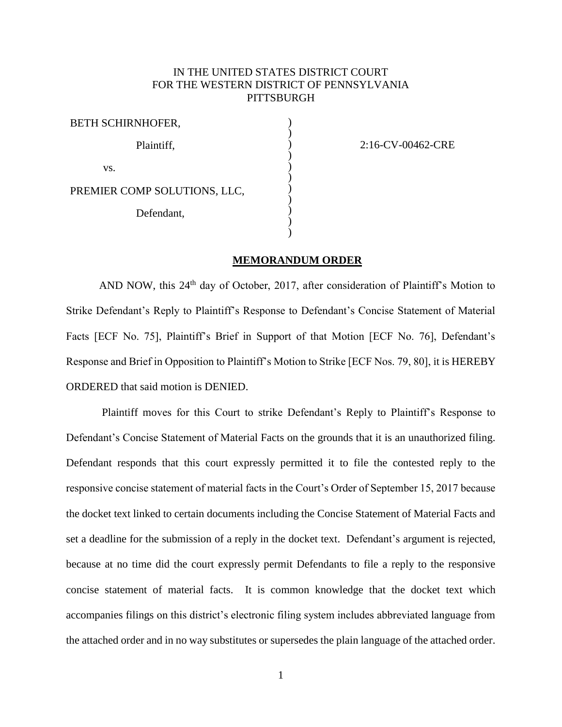## IN THE UNITED STATES DISTRICT COURT FOR THE WESTERN DISTRICT OF PENNSYLVANIA **PITTSBURGH**

) ) ) ) ) ) ) ) ) ) )

2:16-CV-00462-CRE

## **MEMORANDUM ORDER**

AND NOW, this 24<sup>th</sup> day of October, 2017, after consideration of Plaintiff's Motion to Strike Defendant's Reply to Plaintiff's Response to Defendant's Concise Statement of Material Facts [ECF No. 75], Plaintiff's Brief in Support of that Motion [ECF No. 76], Defendant's Response and Brief in Opposition to Plaintiff's Motion to Strike [ECF Nos. 79, 80], it is HEREBY ORDERED that said motion is DENIED.

Plaintiff moves for this Court to strike Defendant's Reply to Plaintiff's Response to Defendant's Concise Statement of Material Facts on the grounds that it is an unauthorized filing. Defendant responds that this court expressly permitted it to file the contested reply to the responsive concise statement of material facts in the Court's Order of September 15, 2017 because the docket text linked to certain documents including the Concise Statement of Material Facts and set a deadline for the submission of a reply in the docket text. Defendant's argument is rejected, because at no time did the court expressly permit Defendants to file a reply to the responsive concise statement of material facts. It is common knowledge that the docket text which accompanies filings on this district's electronic filing system includes abbreviated language from the attached order and in no way substitutes or supersedes the plain language of the attached order.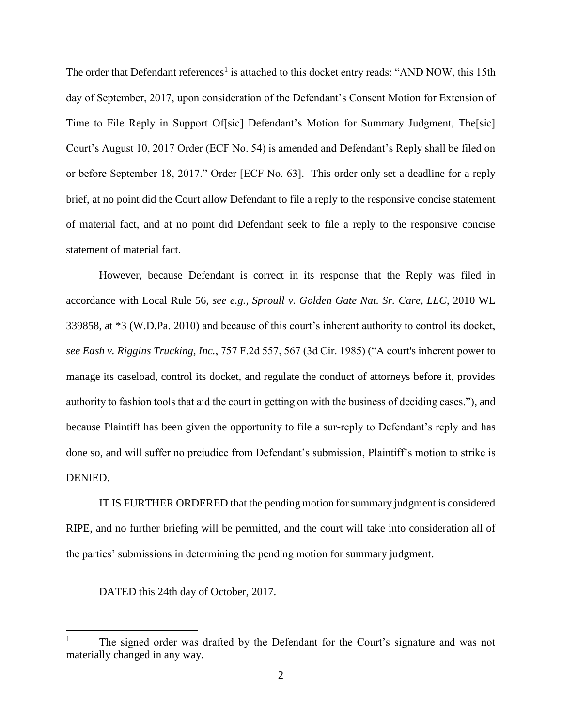The order that Defendant references<sup>1</sup> is attached to this docket entry reads: "AND NOW, this 15th day of September, 2017, upon consideration of the Defendant's Consent Motion for Extension of Time to File Reply in Support Of[sic] Defendant's Motion for Summary Judgment, The[sic] Court's August 10, 2017 Order (ECF No. 54) is amended and Defendant's Reply shall be filed on or before September 18, 2017." Order [ECF No. 63]. This order only set a deadline for a reply brief, at no point did the Court allow Defendant to file a reply to the responsive concise statement of material fact, and at no point did Defendant seek to file a reply to the responsive concise statement of material fact.

However, because Defendant is correct in its response that the Reply was filed in accordance with Local Rule 56, *see e.g., Sproull v. Golden Gate Nat. Sr. Care, LLC*, 2010 WL 339858, at \*3 (W.D.Pa. 2010) and because of this court's inherent authority to control its docket, *see Eash v. Riggins Trucking, Inc.*, 757 F.2d 557, 567 (3d Cir. 1985) ("A court's inherent power to manage its caseload, control its docket, and regulate the conduct of attorneys before it, provides authority to fashion tools that aid the court in getting on with the business of deciding cases."), and because Plaintiff has been given the opportunity to file a sur-reply to Defendant's reply and has done so, and will suffer no prejudice from Defendant's submission, Plaintiff's motion to strike is DENIED.

IT IS FURTHER ORDERED that the pending motion for summary judgment is considered RIPE, and no further briefing will be permitted, and the court will take into consideration all of the parties' submissions in determining the pending motion for summary judgment.

DATED this 24th day of October, 2017.

 $\overline{a}$ 

<sup>1</sup> The signed order was drafted by the Defendant for the Court's signature and was not materially changed in any way.